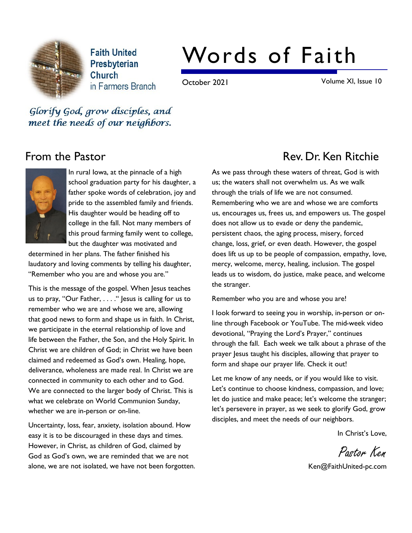

**Faith United** Presbyterian Church in Farmers Branch

# Words of Faith

October 2021 Volume XI, Issue 10

Glorify God, grow disciples, and meet the needs of our neighbors.



In rural Iowa, at the pinnacle of a high school graduation party for his daughter, a father spoke words of celebration, joy and pride to the assembled family and friends. His daughter would be heading off to college in the fall. Not many members of this proud farming family went to college, but the daughter was motivated and

determined in her plans. The father finished his laudatory and loving comments by telling his daughter, "Remember who you are and whose you are."

This is the message of the gospel. When Jesus teaches us to pray, "Our Father, . . . ." Jesus is calling for us to remember who we are and whose we are, allowing that good news to form and shape us in faith. In Christ, we participate in the eternal relationship of love and life between the Father, the Son, and the Holy Spirit. In Christ we are children of God; in Christ we have been claimed and redeemed as God's own. Healing, hope, deliverance, wholeness are made real. In Christ we are connected in community to each other and to God. We are connected to the larger body of Christ. This is what we celebrate on World Communion Sunday, whether we are in-person or on-line.

Uncertainty, loss, fear, anxiety, isolation abound. How easy it is to be discouraged in these days and times. However, in Christ, as children of God, claimed by God as God's own, we are reminded that we are not alone, we are not isolated, we have not been forgotten.

# From the Pastor **Rev. Dr. Ken Ritchie** Rev. Dr. Ken Ritchie

As we pass through these waters of threat, God is with us; the waters shall not overwhelm us. As we walk through the trials of life we are not consumed. Remembering who we are and whose we are comforts us, encourages us, frees us, and empowers us. The gospel does not allow us to evade or deny the pandemic, persistent chaos, the aging process, misery, forced change, loss, grief, or even death. However, the gospel does lift us up to be people of compassion, empathy, love, mercy, welcome, mercy, healing, inclusion. The gospel leads us to wisdom, do justice, make peace, and welcome the stranger.

Remember who you are and whose you are!

I look forward to seeing you in worship, in-person or online through Facebook or YouTube. The mid-week video devotional, "Praying the Lord's Prayer," continues through the fall. Each week we talk about a phrase of the prayer Jesus taught his disciples, allowing that prayer to form and shape our prayer life. Check it out!

Let me know of any needs, or if you would like to visit. Let's continue to choose kindness, compassion, and love; let do justice and make peace; let's welcome the stranger; let's persevere in prayer, as we seek to glorify God, grow disciples, and meet the needs of our neighbors.

In Christ's Love,

Pastor Ken

Ken@FaithUnited-pc.com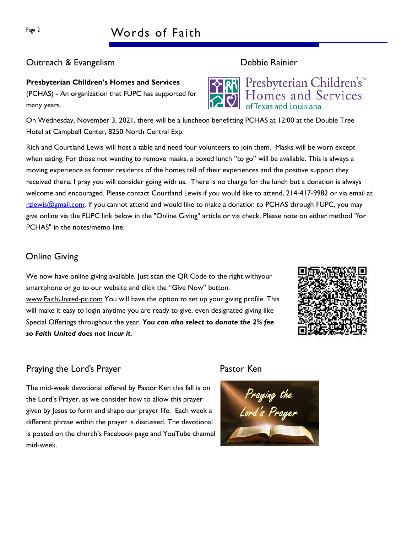## Outreach & Evangelism Debbie Rainier

# Presbyterian Children's Homes and Services

(PCHAS) - An organization that FUPC has supported for many years.

On Wednesday, November 3, 2021, there will be a luncheon benefitting PCHAS at 12:00 at the Double Tree Hotel at Campbell Center, 8250 North Central Exp.

Rich and Courtland Lewis will host a table and need four volunteers to join them. Masks will be worn except when eating. For those not wanting to remove masks, a boxed lunch "to go" will be available. This is always a moving experience as former residents of the homes tell of their experiences and the positive support they received there. I pray you will consider going with us. There is no charge for the lunch but a donation is always welcome and encouraged. Please contact Courtland Lewis if you would like to attend, 214-417-9982 or via email at rzlewis@gmail.com. If you cannot attend and would like to make a donation to PCHAS through FUPC, you may give online via the FUPC link below in the "Online Giving" article or via check. Please note on either method "for PCHAS" in the notes/memo line.

# Online Giving

We now have online giving available. Just scan the QR Code to the right withyour smartphone or go to our website and click the "Give Now" button. www.FaithUnited-pc.com You will have the option to set up your giving profile. This will make it easy to login anytime you are ready to give, even designated giving like Special Offerings throughout the year. You can also select to donate the 2% fee so Faith United does not incur it.



# Praying the Lord's Prayer **Pastor Ken**

The mid-week devotional offered by Pastor Ken this fall is on the Lord's Prayer, as we consider how to allow this prayer given by Jesus to form and shape our prayer life. Each week a different phrase within the prayer is discussed. The devotional is posted on the church's Facebook page and YouTube channel mid-week.





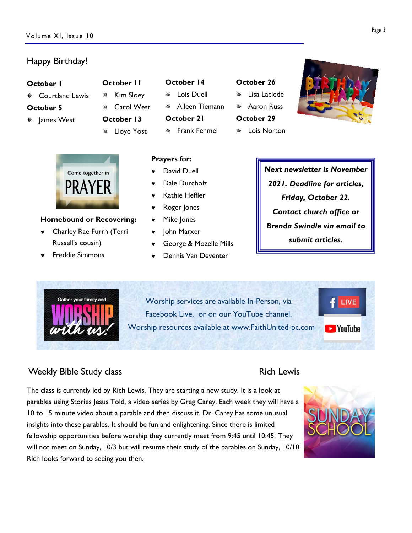### Happy Birthday!

### October 1

 $*$  Courtland Lewis

### October 5

- \* lames West
- \* Carol West October 13 Lloyd Yost

October 11 \* Kim Sloey



### Homebound or Recovering:

- © Charley Rae Furrh (Terri Russell's cousin)
- © Freddie Simmons

# October 14

Lois Duell

¯ Aileen Tiemann

October 21

David Duell Dale Durcholz Kathie Heffler Roger Jones Mike Jones • John Marxer

Prayers for:

\* Frank Fehmel

© George & Mozelle Mills © Dennis Van Deventer

### October 26 Lisa Laclede

- Aaron Russ
- October 29
- $*$  Lois Norton



Next newsletter is November 2021. Deadline for articles, Friday, October 22. Contact church office or Brenda Swindle via email to submit articles.



Worship services are available In-Person, via Facebook Live, or on our YouTube channel. Worship resources available at www.FaithUnited-pc.com

# Weekly Bible Study class **Rich Lewis** Rich Lewis

The class is currently led by Rich Lewis. They are starting a new study. It is a look at parables using Stories Jesus Told, a video series by Greg Carey. Each week they will have a 10 to 15 minute video about a parable and then discuss it. Dr. Carey has some unusual insights into these parables. It should be fun and enlightening. Since there is limited fellowship opportunities before worship they currently meet from 9:45 until 10:45. They will not meet on Sunday, 10/3 but will resume their study of the parables on Sunday, 10/10. Rich looks forward to seeing you then.



 $f$  LIVE

**D** YouTube